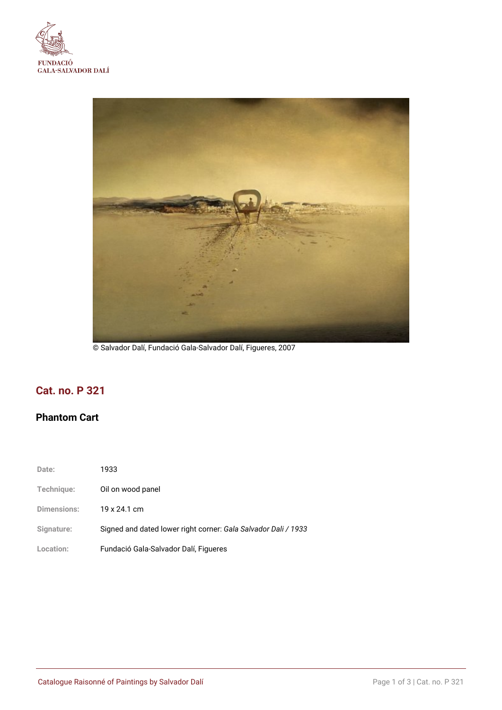



© Salvador Dalí, Fundació Gala-Salvador Dalí, Figueres, 2007

# **Cat. no. P 321**

# **Phantom Cart**

| Date:              | 1933                                                           |
|--------------------|----------------------------------------------------------------|
| Technique:         | Oil on wood panel                                              |
| <b>Dimensions:</b> | 19 x 24.1 cm                                                   |
| Signature:         | Signed and dated lower right corner: Gala Salvador Dali / 1933 |
| Location:          | Fundació Gala-Salvador Dalí, Figueres                          |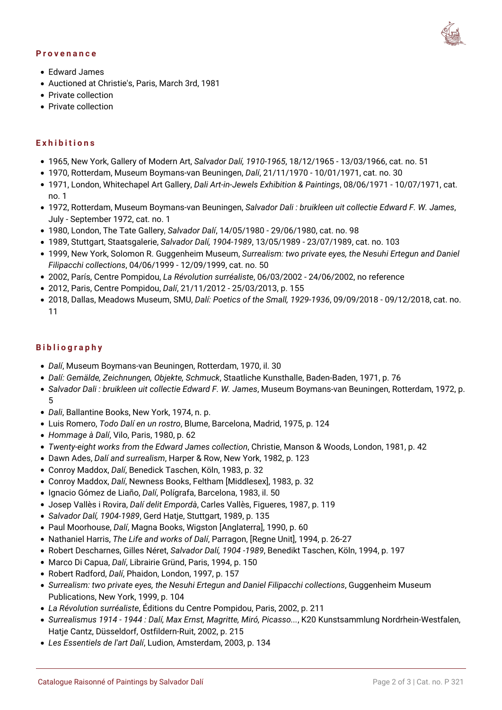#### **Provenance**



- Edward James
- Auctioned at Christie's, Paris, March 3rd, 1981
- Private collection
- Private collection

### **Exhibitions**

- 1965, New York, Gallery of Modern Art, *Salvador Dalí, 1910-1965*, 18/12/1965 13/03/1966, cat. no. 51
- 1970, Rotterdam, Museum Boymans-van Beuningen, *Dalí*, 21/11/1970 10/01/1971, cat. no. 30
- 1971, London, Whitechapel Art Gallery, *Dali Art-in-Jewels Exhibition & Paintings*, 08/06/1971 10/07/1971, cat. no. 1
- 1972, Rotterdam, Museum Boymans-van Beuningen, *Salvador Dali : bruikleen uit collectie Edward F. W. James*, July - September 1972, cat. no. 1
- 1980, London, The Tate Gallery, *Salvador Dalí*, 14/05/1980 29/06/1980, cat. no. 98
- 1989, Stuttgart, Staatsgalerie, *Salvador Dalí, 1904-1989*, 13/05/1989 23/07/1989, cat. no. 103
- 1999, New York, Solomon R. Guggenheim Museum, *Surrealism: two private eyes, the Nesuhi Ertegun and Daniel Filipacchi collections*, 04/06/1999 - 12/09/1999, cat. no. 50
- 2002, París, Centre Pompidou, *La Révolution surréaliste*, 06/03/2002 24/06/2002, no reference
- 2012, Paris, Centre Pompidou, *Dalí*, 21/11/2012 25/03/2013, p. 155
- 2018, Dallas, Meadows Museum, SMU, *Dalí: Poetics of the Small, 1929-1936*, 09/09/2018 09/12/2018, cat. no. 11

### **Bibliography**

- *Dalí*, Museum Boymans-van Beuningen, Rotterdam, 1970, il. 30
- *Dalí: Gemälde, Zeichnungen, Objekte, Schmuck*, Staatliche Kunsthalle, Baden-Baden, 1971, p. 76
- *Salvador Dali : bruikleen uit collectie Edward F. W. James*, Museum Boymans-van Beuningen, Rotterdam, 1972, p. 5
- *Dali*, Ballantine Books, New York, 1974, n. p.
- Luis Romero, *Todo Dalí en un rostro*, Blume, Barcelona, Madrid, 1975, p. 124
- *Hommage à Dalí*, Vilo, Paris, 1980, p. 62
- *Twenty-eight works from the Edward James collection*, Christie, Manson & Woods, London, 1981, p. 42
- Dawn Ades, *Dalí and surrealism*, Harper & Row, New York, 1982, p. 123
- Conroy Maddox, *Dalí*, Benedick Taschen, Köln, 1983, p. 32
- Conroy Maddox, *Dalí*, Newness Books, Feltham [Middlesex], 1983, p. 32
- Ignacio Gómez de Liaño, *Dalí*, Polígrafa, Barcelona, 1983, il. 50
- Josep Vallès i Rovira, *Dalí delit Empordà*, Carles Vallès, Figueres, 1987, p. 119
- *Salvador Dalí, 1904-1989*, Gerd Hatje, Stuttgart, 1989, p. 135
- Paul Moorhouse, *Dalí*, Magna Books, Wigston [Anglaterra], 1990, p. 60
- Nathaniel Harris, *The Life and works of Dalí*, Parragon, [Regne Unit], 1994, p. 26-27
- Robert Descharnes, Gilles Néret, *Salvador Dalí, 1904 -1989*, Benedikt Taschen, Köln, 1994, p. 197
- Marco Di Capua, *Dalí*, Librairie Gründ, Paris, 1994, p. 150
- Robert Radford, *Dalí*, Phaidon, London, 1997, p. 157
- *Surrealism: two private eyes, the Nesuhi Ertegun and Daniel Filipacchi collections*, Guggenheim Museum Publications, New York, 1999, p. 104
- *La Révolution surréaliste*, Éditions du Centre Pompidou, Paris, 2002, p. 211
- *Surrealismus 1914 1944 : Dalí, Max Ernst, Magritte, Miró, Picasso...*, K20 Kunstsammlung Nordrhein-Westfalen, Hatje Cantz, Düsseldorf, Ostfildern-Ruit, 2002, p. 215
- *Les Essentiels de l'art Dalí*, Ludion, Amsterdam, 2003, p. 134